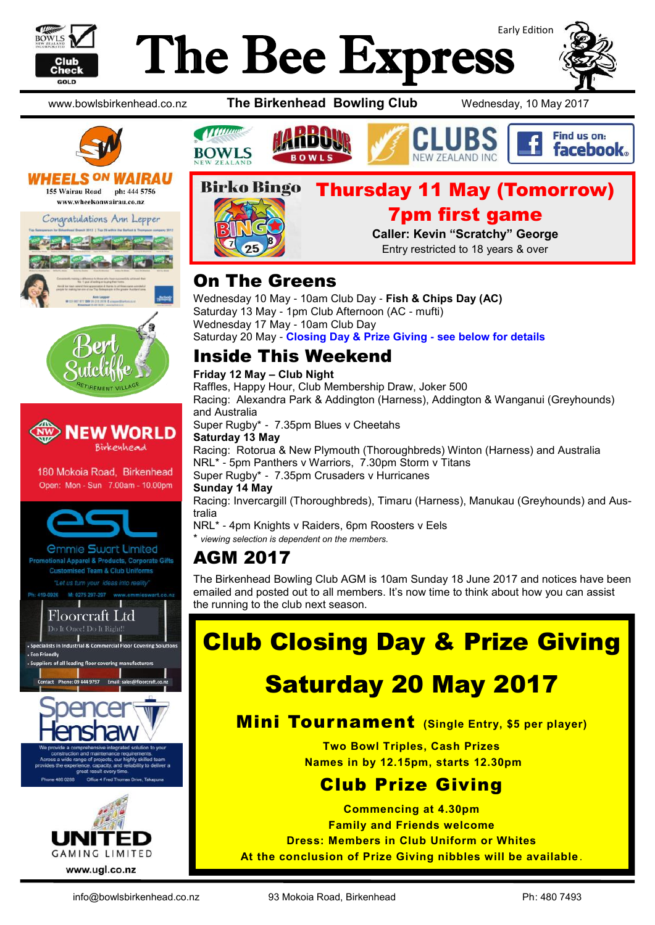

# Early Edition The Bee Express





#### **WHEELS ON WA** JRAU 155 Wairau Road ph: 444 5756

www.wheelsonwairau.co.nz









180 Mokoia Road, Birkenhead Open: Mon - Sun 7.00am - 10.00pm



| <b><i><u>Ommie Swart Limited</u></i></b>        |
|-------------------------------------------------|
| Promotional Apparel & Products, Corporate Gifts |
| <b>Customised Team &amp; Club Uniforms</b>      |
| "Let us turn your ideas into reality"           |

**Floorcraft Ltd** Do It Once! Do It Right



www.bowlsbirkenhead.co.nz **The Birkenhead Bowling Club** Wednesday, 10 May 2017





**Caller: Kevin "Scratchy" George** Entry restricted to 18 years & over

# On The Greens

Wednesday 10 May - 10am Club Day - **Fish & Chips Day (AC)** Saturday 13 May - 1pm Club Afternoon (AC - mufti) Wednesday 17 May - 10am Club Day Saturday 20 May - **Closing Day & Prize Giving - see below for details**

# Inside This Weekend

#### **Friday 12 May – Club Night**

Raffles, Happy Hour, Club Membership Draw, Joker 500 Racing: Alexandra Park & Addington (Harness), Addington & Wanganui (Greyhounds) and Australia

Super Rugby\* - 7.35pm Blues v Cheetahs

**Saturday 13 May** Racing: Rotorua & New Plymouth (Thoroughbreds) Winton (Harness) and Australia

NRL\* - 5pm Panthers v Warriors, 7.30pm Storm v Titans Super Rugby\* - 7.35pm Crusaders v Hurricanes

#### **Sunday 14 May**

Racing: Invercargill (Thoroughbreds), Timaru (Harness), Manukau (Greyhounds) and Australia

NRL\* - 4pm Knights v Raiders, 6pm Roosters v Eels

\* *viewing selection is dependent on the members.* 

# AGM 2017

The Birkenhead Bowling Club AGM is 10am Sunday 18 June 2017 and notices have been emailed and posted out to all members. It's now time to think about how you can assist the running to the club next season.

# Club Closing Day & Prize Giving

# Saturday 20 May 2017

### Mini Tournament **(Single Entry, \$5 per player)**

**Two Bowl Triples, Cash Prizes Names in by 12.15pm, starts 12.30pm**

# Club Prize Giving

**Commencing at 4.30pm Family and Friends welcome Dress: Members in Club Uniform or Whites At the conclusion of Prize Giving nibbles will be available**.

info@bowlsbirkenhead.co.nz 93 Mokoia Road, Birkenhead Ph: 480 7493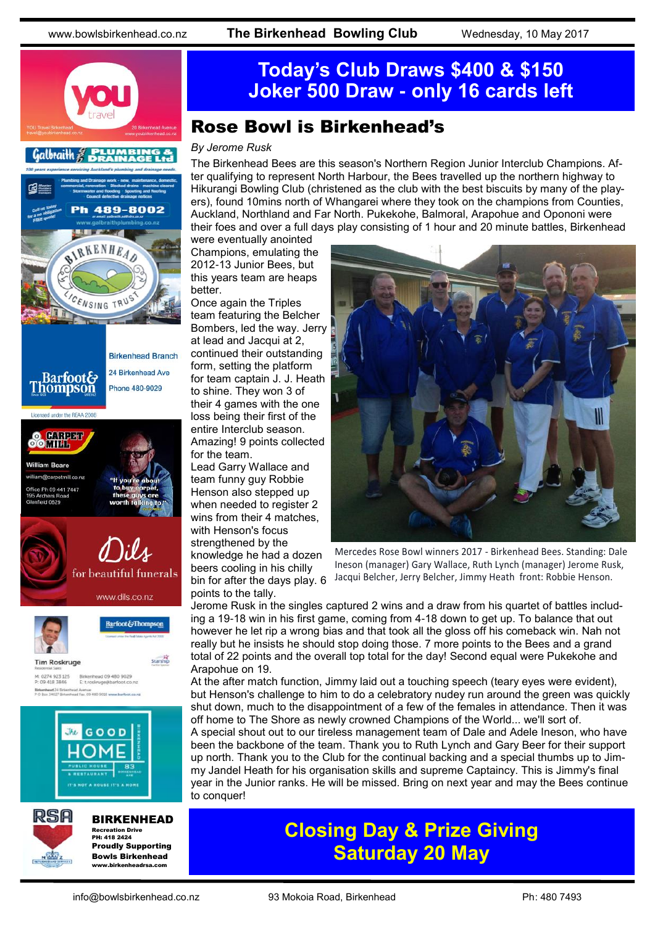





#### BIRKENHEAD Recreation Drive PH: 418 2424 Proudly Supporting

Bowls Birkenhead www.birkenheadrea.com

# **Today's Club Draws \$400 & \$150 Joker 500 Draw - only 16 cards left**

### Rose Bowl is Birkenhead's

#### *By Jerome Rusk*

The Birkenhead Bees are this season's Northern Region Junior Interclub Champions. After qualifying to represent North Harbour, the Bees travelled up the northern highway to Hikurangi Bowling Club (christened as the club with the best biscuits by many of the players), found 10mins north of Whangarei where they took on the champions from Counties, Auckland, Northland and Far North. Pukekohe, Balmoral, Arapohue and Opononi were their foes and over a full days play consisting of 1 hour and 20 minute battles, Birkenhead

were eventually anointed Champions, emulating the 2012-13 Junior Bees, but this years team are heaps better.

Once again the Triples team featuring the Belcher Bombers, led the way. Jerry at lead and Jacqui at 2, continued their outstanding form, setting the platform for team captain J. J. Heath to shine. They won 3 of their 4 games with the one loss being their first of the entire Interclub season. Amazing! 9 points collected for the team.

Lead Garry Wallace and team funny guy Robbie Henson also stepped up when needed to register 2 wins from their 4 matches, with Henson's focus strengthened by the

knowledge he had a dozen beers cooling in his chilly bin for after the days play. 6 points to the tally.



Mercedes Rose Bowl winners 2017 - Birkenhead Bees. Standing: Dale Ineson (manager) Gary Wallace, Ruth Lynch (manager) Jerome Rusk, Jacqui Belcher, Jerry Belcher, Jimmy Heath front: Robbie Henson.

Jerome Rusk in the singles captured 2 wins and a draw from his quartet of battles including a 19-18 win in his first game, coming from 4-18 down to get up. To balance that out however he let rip a wrong bias and that took all the gloss off his comeback win. Nah not really but he insists he should stop doing those. 7 more points to the Bees and a grand total of 22 points and the overall top total for the day! Second equal were Pukekohe and Arapohue on 19.

At the after match function, Jimmy laid out a touching speech (teary eyes were evident), but Henson's challenge to him to do a celebratory nudey run around the green was quickly shut down, much to the disappointment of a few of the females in attendance. Then it was off home to The Shore as newly crowned Champions of the World... we'll sort of. A special shout out to our tireless management team of Dale and Adele Ineson, who have

been the backbone of the team. Thank you to Ruth Lynch and Gary Beer for their support up north. Thank you to the Club for the continual backing and a special thumbs up to Jimmy Jandel Heath for his organisation skills and supreme Captaincy. This is Jimmy's final year in the Junior ranks. He will be missed. Bring on next year and may the Bees continue to conquer!

# **Closing Day & Prize Giving Saturday 20 May**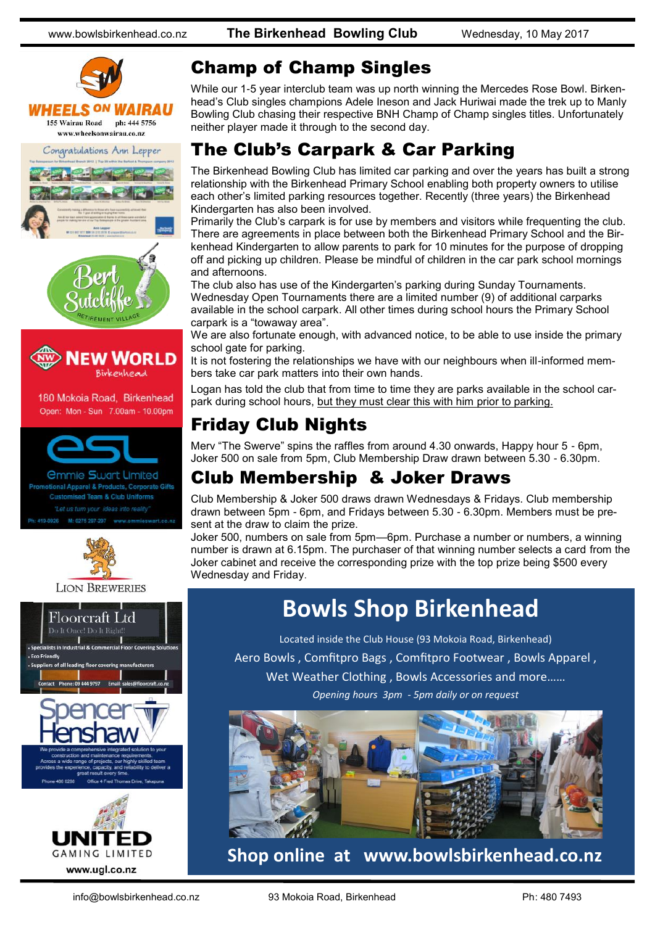



180 Mokoia Road, Birkenhead Open: Mon - Sun 7.00am - 10.00pm



*<u>Ommie Swart Limited</u>* onal Apparel & Products, Corporate Gifts **Customised Team & Club Uniforms** M: 0275 297-297 www.emmieswart.co.nz



#### **LION BREWERIES**





### Champ of Champ Singles

While our 1-5 year interclub team was up north winning the Mercedes Rose Bowl. Birkenhead's Club singles champions Adele Ineson and Jack Huriwai made the trek up to Manly Bowling Club chasing their respective BNH Champ of Champ singles titles. Unfortunately neither player made it through to the second day.

## The Club's Carpark & Car Parking

The Birkenhead Bowling Club has limited car parking and over the years has built a strong relationship with the Birkenhead Primary School enabling both property owners to utilise each other's limited parking resources together. Recently (three years) the Birkenhead Kindergarten has also been involved.

Primarily the Club's carpark is for use by members and visitors while frequenting the club. There are agreements in place between both the Birkenhead Primary School and the Birkenhead Kindergarten to allow parents to park for 10 minutes for the purpose of dropping off and picking up children. Please be mindful of children in the car park school mornings and afternoons.

The club also has use of the Kindergarten's parking during Sunday Tournaments. Wednesday Open Tournaments there are a limited number (9) of additional carparks available in the school carpark. All other times during school hours the Primary School carpark is a "towaway area".

We are also fortunate enough, with advanced notice, to be able to use inside the primary school gate for parking.

It is not fostering the relationships we have with our neighbours when ill-informed members take car park matters into their own hands.

Logan has told the club that from time to time they are parks available in the school carpark during school hours, but they must clear this with him prior to parking.

# Friday Club Nights

Merv "The Swerve" spins the raffles from around 4.30 onwards, Happy hour 5 - 6pm, Joker 500 on sale from 5pm, Club Membership Draw drawn between 5.30 - 6.30pm.

## Club Membership & Joker Draws

Club Membership & Joker 500 draws drawn Wednesdays & Fridays. Club membership drawn between 5pm - 6pm, and Fridays between 5.30 - 6.30pm. Members must be present at the draw to claim the prize.

Joker 500, numbers on sale from 5pm—6pm. Purchase a number or numbers, a winning number is drawn at 6.15pm. The purchaser of that winning number selects a card from the Joker cabinet and receive the corresponding prize with the top prize being \$500 every Wednesday and Friday.

# **Bowls Shop Birkenhead**

Located inside the Club House (93 Mokoia Road, Birkenhead) Aero Bowls , Comfitpro Bags , Comfitpro Footwear , Bowls Apparel , Wet Weather Clothing , Bowls Accessories and more…… *Opening hours 3pm - 5pm daily or on request*



**Shop online at www.bowlsbirkenhead.co.nz**